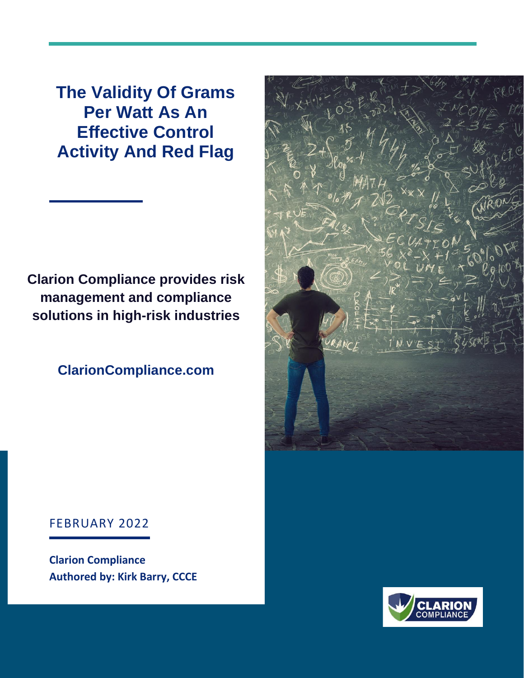**The Validity Of Grams Per Watt As An Effective Control Activity And Red Flag**

**Clarion Compliance provides risk management and compliance solutions in high-risk industries**

**ClarionCompliance.com**



#### FEBRUARY 2022

**Clarion Compliance Authored by: Kirk Barry, CCCE**

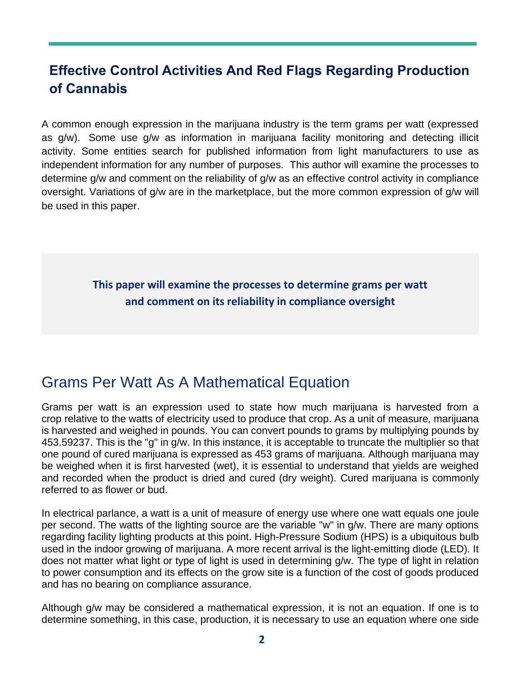# **Effective Control Activities And Red Flags Regarding Production of Cannabis**

A common enough expression in the marijuana industry is the term grams per watt (expressed as g/w). Some use g/w as information in marijuana facility monitoring and detecting illicit activity. Some entities search for published information from light manufacturers to use as independent information for any number of purposes. This author will examine the processes to determine g/w and comment on the reliability of g/w as an effective control activity in compliance oversight. Variations of g/w are in the marketplace, but the more common expression of g/w will be used in this paper.

> **This paper will examine the processes to determine grams per watt and comment on its reliability in compliance oversight**

# Grams Per Watt As A Mathematical Equation

Grams per watt is an expression used to state how much marijuana is harvested from a crop relative to the watts of electricity used to produce that crop. As a unit of measure, marijuana is harvested and weighed in pounds. You can convert pounds to grams by multiplying pounds by 453.59237. This is the "g" in g/w. In this instance, it is acceptable to truncate the multiplier so that one pound of cured marijuana is expressed as 453 grams of marijuana. Although marijuana may be weighed when it is first harvested (wet), it is essential to understand that yields are weighed and recorded when the product is dried and cured (dry weight). Cured marijuana is commonly referred to as flower or bud.

In electrical parlance, a watt is a unit of measure of energy use where one watt equals one joule per second. The watts of the lighting source are the variable "w" in g/w. There are many options regarding facility lighting products at this point. High-Pressure Sodium (HPS) is a ubiquitous bulb used in the indoor growing of marijuana. A more recent arrival is the light-emitting diode (LED). It does not matter what light or type of light is used in determining g/w. The type of light in relation to power consumption and its effects on the grow site is a function of the cost of goods produced and has no bearing on compliance assurance.

Although g/w may be considered a mathematical expression, it is not an equation. If one is to determine something, in this case, production, it is necessary to use an equation where one side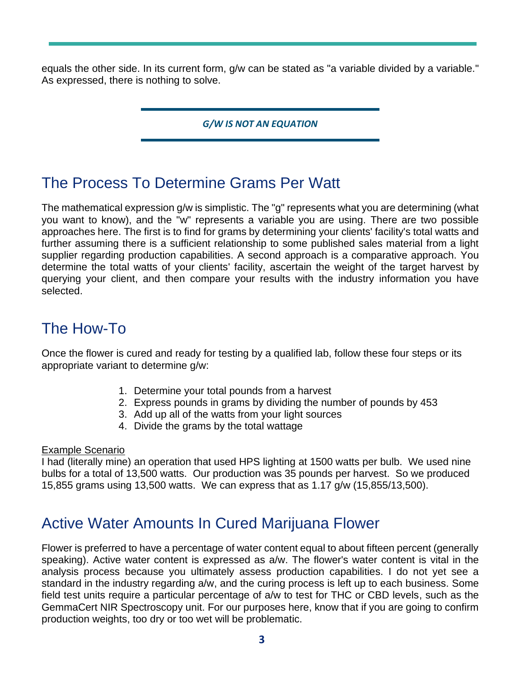equals the other side. In its current form, g/w can be stated as "a variable divided by a variable." As expressed, there is nothing to solve.

*G/W IS NOT AN EQUATION*

# The Process To Determine Grams Per Watt

The mathematical expression g/w is simplistic. The "g" represents what you are determining (what you want to know), and the "w" represents a variable you are using. There are two possible approaches here. The first is to find for grams by determining your clients' facility's total watts and further assuming there is a sufficient relationship to some published sales material from a light supplier regarding production capabilities. A second approach is a comparative approach. You determine the total watts of your clients' facility, ascertain the weight of the target harvest by querying your client, and then compare your results with the industry information you have selected.

# The How-To

Once the flower is cured and ready for testing by a qualified lab, follow these four steps or its appropriate variant to determine g/w:

- 1. Determine your total pounds from a harvest
- 2. Express pounds in grams by dividing the number of pounds by 453
- 3. Add up all of the watts from your light sources
- 4. Divide the grams by the total wattage

#### Example Scenario

I had (literally mine) an operation that used HPS lighting at 1500 watts per bulb. We used nine bulbs for a total of 13,500 watts. Our production was 35 pounds per harvest. So we produced 15,855 grams using 13,500 watts. We can express that as 1.17 g/w (15,855/13,500).

# Active Water Amounts In Cured Marijuana Flower

Flower is preferred to have a percentage of water content equal to about fifteen percent (generally speaking). Active water content is expressed as a/w. The flower's water content is vital in the analysis process because you ultimately assess production capabilities. I do not yet see a standard in the industry regarding a/w, and the curing process is left up to each business. Some field test units require a particular percentage of a/w to test for THC or CBD levels, such as the GemmaCert NIR Spectroscopy unit. For our purposes here, know that if you are going to confirm production weights, too dry or too wet will be problematic.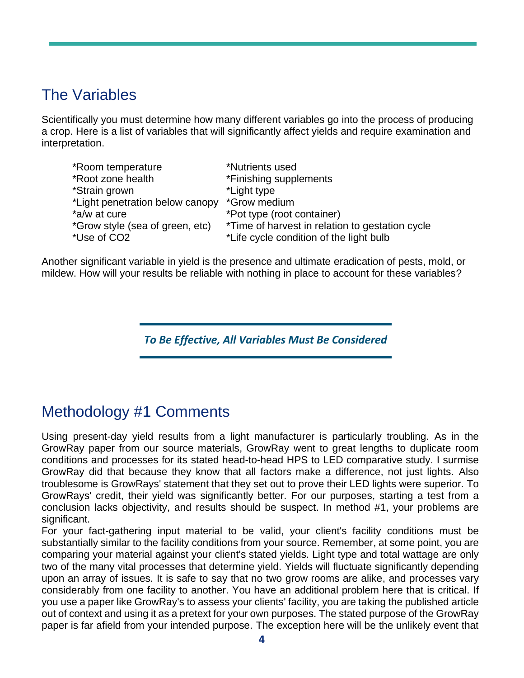# The Variables

Scientifically you must determine how many different variables go into the process of producing a crop. Here is a list of variables that will significantly affect yields and require examination and interpretation.

| *Room temperature               | *Nutrients used                                 |
|---------------------------------|-------------------------------------------------|
| *Root zone health               | *Finishing supplements                          |
| *Strain grown                   | *Light type                                     |
| *Light penetration below canopy | *Grow medium                                    |
| *a/w at cure                    | *Pot type (root container)                      |
| *Grow style (sea of green, etc) | *Time of harvest in relation to gestation cycle |
| *Use of CO2                     | *Life cycle condition of the light bulb         |

Another significant variable in yield is the presence and ultimate eradication of pests, mold, or mildew. How will your results be reliable with nothing in place to account for these variables?

*To Be Effective, All Variables Must Be Considered*

### Methodology #1 Comments

Using present-day yield results from a light manufacturer is particularly troubling. As in the GrowRay paper from our source materials, GrowRay went to great lengths to duplicate room conditions and processes for its stated head-to-head HPS to LED comparative study. I surmise GrowRay did that because they know that all factors make a difference, not just lights. Also troublesome is GrowRays' statement that they set out to prove their LED lights were superior. To GrowRays' credit, their yield was significantly better. For our purposes, starting a test from a conclusion lacks objectivity, and results should be suspect. In method #1, your problems are significant.

For your fact-gathering input material to be valid, your client's facility conditions must be substantially similar to the facility conditions from your source. Remember, at some point, you are comparing your material against your client's stated yields. Light type and total wattage are only two of the many vital processes that determine yield. Yields will fluctuate significantly depending upon an array of issues. It is safe to say that no two grow rooms are alike, and processes vary considerably from one facility to another. You have an additional problem here that is critical. If you use a paper like GrowRay's to assess your clients' facility, you are taking the published article out of context and using it as a pretext for your own purposes. The stated purpose of the GrowRay paper is far afield from your intended purpose. The exception here will be the unlikely event that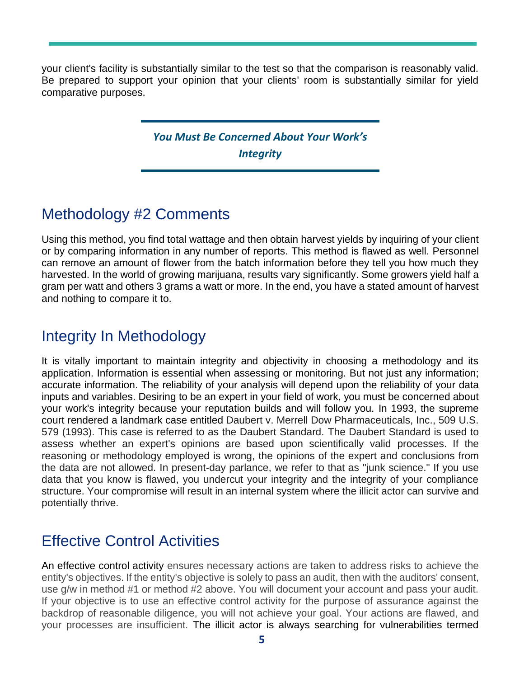your client's facility is substantially similar to the test so that the comparison is reasonably valid. Be prepared to support your opinion that your clients' room is substantially similar for yield comparative purposes.

### *You Must Be Concerned About Your Work's Integrity*

# Methodology #2 Comments

Using this method, you find total wattage and then obtain harvest yields by inquiring of your client or by comparing information in any number of reports. This method is flawed as well. Personnel can remove an amount of flower from the batch information before they tell you how much they harvested. In the world of growing marijuana, results vary significantly. Some growers yield half a gram per watt and others 3 grams a watt or more. In the end, you have a stated amount of harvest and nothing to compare it to.

# Integrity In Methodology

It is vitally important to maintain integrity and objectivity in choosing a methodology and its application. Information is essential when assessing or monitoring. But not just any information; accurate information. The reliability of your analysis will depend upon the reliability of your data inputs and variables. Desiring to be an expert in your field of work, you must be concerned about your work's integrity because your reputation builds and will follow you. In 1993, the supreme court rendered a landmark case entitled Daubert v. Merrell Dow Pharmaceuticals, Inc., 509 U.S. 579 (1993). This case is referred to as the Daubert Standard. The Daubert Standard is used to assess whether an expert's opinions are based upon scientifically valid processes. If the reasoning or methodology employed is wrong, the opinions of the expert and conclusions from the data are not allowed. In present-day parlance, we refer to that as "junk science." If you use data that you know is flawed, you undercut your integrity and the integrity of your compliance structure. Your compromise will result in an internal system where the illicit actor can survive and potentially thrive.

# Effective Control Activities

An effective control activity ensures necessary actions are taken to address risks to achieve the entity's objectives. If the entity's objective is solely to pass an audit, then with the auditors' consent, use g/w in method #1 or method #2 above. You will document your account and pass your audit. If your objective is to use an effective control activity for the purpose of assurance against the backdrop of reasonable diligence, you will not achieve your goal. Your actions are flawed, and your processes are insufficient. The illicit actor is always searching for vulnerabilities termed